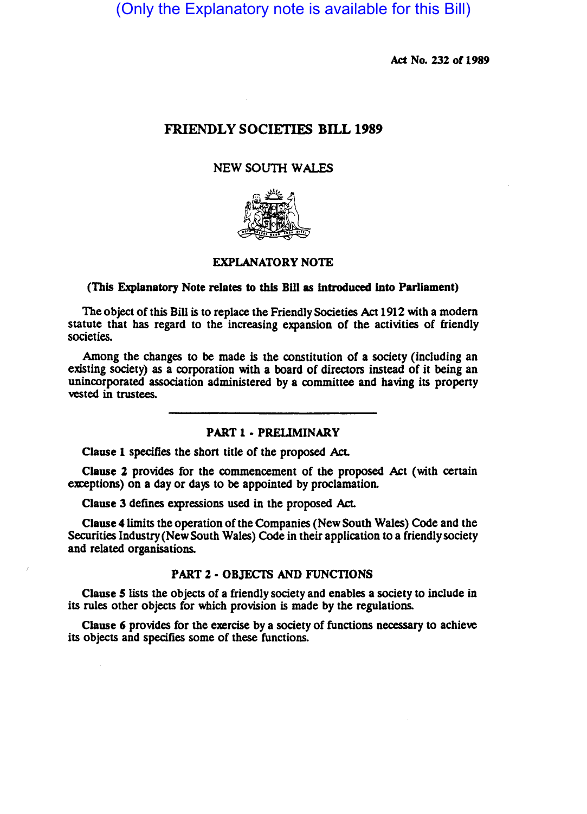(Only the Explanatory note is available for this Bill)

Act No. 232 of 1989

# FRIENDLY SOCIETIES BILL 1989

## NEW SOUTH WALES



# EXPLANATORY NOTE

### (This Explanatory Note relates to this BlII as Introduced Into Parliament)

The object of this Bill is to replace the Friendly Societies Act 1912 with a modem statute that has regard to the increasing expansion of the activities of friendly societies.

Among the changes to be made is the constitution of a society (including an existing society) as a corporation with a board of directors instead of it being an unincorporated association administered by a committee and having its property vested in trustees.

### PART 1 - PRELIMINARY

Clause 1 specifies the short title of the proposed AcL

Clause 2 provides for the commencement of the proposed Act (with certain exceptions) on a day or days to be appointed by proclamation.

Clause 3 defines expressions used in the proposed AcL

Clause 4 limits the operation of the Companies (New South Wales) Code and the Securities Industry (New South Wales) Code in their application to a friendly society and related organisations.

#### PART 2 • OBJECTS AND FUNCTIONS

Clause 5 lists the Objects of a friendly society and enables a society to include in its rules other Objects for which provision is made by the regulations.

Clause 6 provides for the exercise by a society of functions necessary to achieve its objects and specifies some of these functions.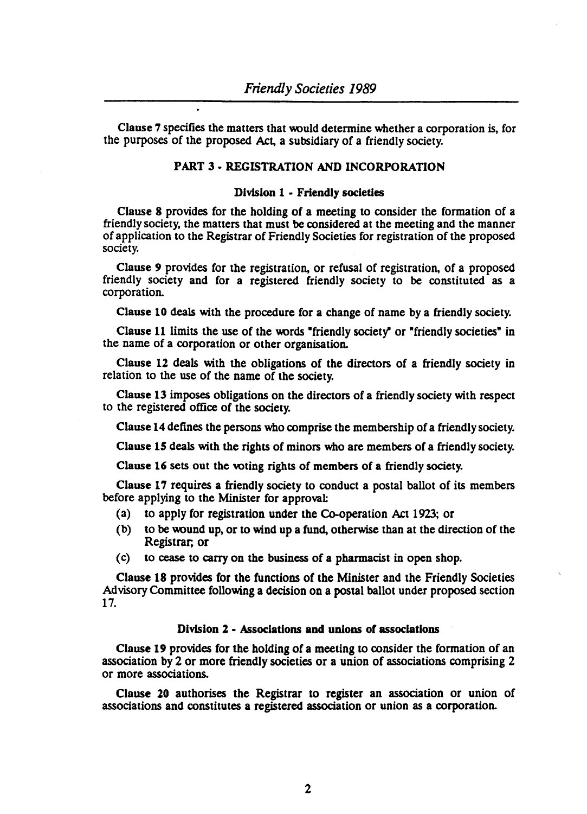Clause 7 specifies the matters that \\Ould determine whether a corporation is, for the purposes of the proposed Act, a subsidiary of a friendly society.

# PART 3 • REGISTRATION AND INCORPORATION

### Division 1 - Friendly societies

Clause 8 provides for the holding of a meeting to consider the formation of a friendly society, the matters that must be considered at the meeting and the manner of application to the Registrar of Friendly Societies for registration of the proposed society.

Clause 9 provides for the registration, or refusal of registration, of a proposed friendly society and for a registered friendly society to be constituted as a corporation.

Clause 10 deals with the procedure for a change of name by a friendly society.

Clause 11 limits the use of the words "friendly society" or "friendly societies" in the name of a corporation or other organisation.

Clause 12 deals with the obligations of the directors of a friendly society in relation to the use of the name of the society.

Clause 13 imposes obligations on the directors of a friendly society with respect to the registered office of the society.

Clause 14 defines the persons who comprise the membership of a friendly society.

Clause 15 deals with the rights of minors who are members of a friendly society.

Clause 16 sets out the voting rights of members of a friendly society.

Clause 17 requires a friendly society to conduct a postal ballot of its members before applying to the Minister for approval:

- (a) to apply for registration under the Co-operation Act 1923; or
- (b) to be wound up, or to wind up a fund, otherwise than at the direction of the Registrar; or
- (c) to cease to carry on the business of a pharmacist in open shop.

Clause 18 provides for the functions of the Minister and the Friendly Societies Advisory Committee follOwing a decision on a postal ballot under proposed section 17.

## Division 2 • Associations and unions of associations

Clause 19 provides for the holding of a meeting to consider the formation of an association by 2 or more friendly societies or a union of associations comprising 2 or more associations.

Clause 20 authorises the Registrar to register an association or union of associations and constitutes a registered association or union as a corporation.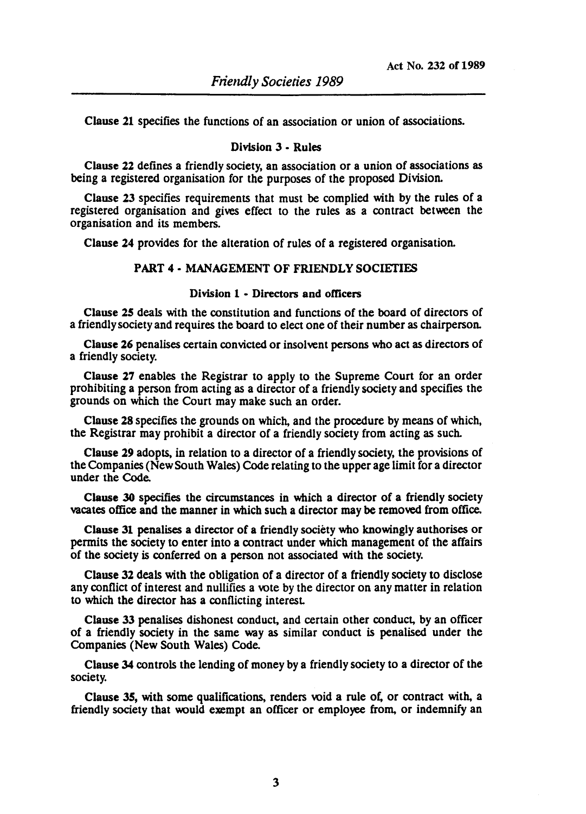Clause 21 specifies the functions of an association or union of associaiions.

## Division 3 • Rules

Clause 22 defines a friendly society, an association or a union of associations as being a registered organisation for the purposes of the proposed Division.

Clause 23 specifies requirements that must be complied with by the rules of a registered organisation and gives effect to the rules as a contract between the organisation and its members.

Clause 24 provides for the alteration of rules of a registered organisation.

### PART 4 • MANAGEMENT OF FRIENDLY SOCIETIES

### Division 1 • Directors and officers

Clause 2S deals with the constitution and functions of the board of directors of a friendly society and requires the board to elect one of their number as chairperson.

Clause 26 penalises certain convicted or insolvent persons who act as directors of a friendly society.

Clause 27 enables the Registrar to apply to the Supreme Court for an order prohibiting a person from acting as a director of a friendly society and specifies the grounds on which the Court may make such an order.

Clause 28 specifies the grounds on which, and the procedure by means of which, the Registrar may prohibit a director of a friendly society from acting as such.

Clause 29 adopts, in relation to a director of a friendly society, the provisions of the Companies (New South Wales) Code relating to the upper age limit for a director under the Code.

Clause 30 specifies the circumstances in which a director of a friendly society vacates office and the manner in whicb such a director may be removed from office.

Clause 31 penalises a director of a friendly society who knowingly autborises or permits tbe society to enter into a contract under whicb management of the affairs of the society is conferred on a person not associated witb the society.

Clause 32 deals with the obligation of a director of a friendly society to disclose any conflict of interest and nullifies a vote by the director on any matter in relation to whicb the director has a conflicting interest

Clause 33 penalises dishonest conduct, and certain other conduct, by an officer of a friendly society in the same way as similar conduct is penalised under the Companies (New South Wales) Code.

Clause 34 controls the lending of money by a friendly society to a director of the society.

Clause 35, with some qualifications, renders void a rule of, or contract with, a friendly society that would exempt an officer or employee from, or indemnify an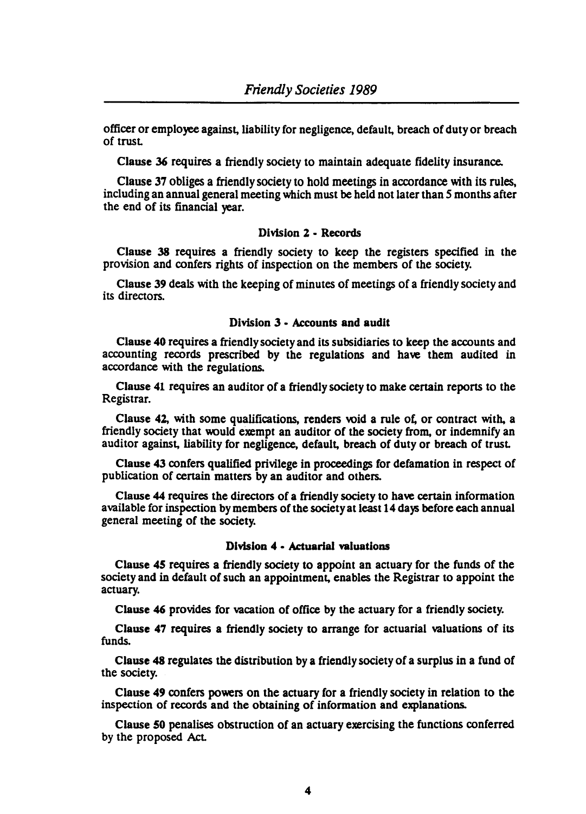officer or employee against, liability for negligence, default, breach of duty or breach of trust

Clause 36 requires a friendly society to maintain adequate fidelity insurance.

Clause 37 obliges a friendly society to hold meetings in accordance with its rules, including an annual general meeting which must be held not later than 5 months after the end of its financial year.

## Division 2 • Records

Clause 38 requires a friendly society to keep the registers specified in the provision and confers rights of inspection on the members of the society.

Clause 39 deals with the keeping of minutes of meetings of a friendly society and its directors.

### Division 3 - Accounts and audit

Clause 40 requires a friendly society and its subsidiaries to keep the accounts and accounting records prescribed by the regulations and have them audited in accordance with the regulations.

Clause 41 requires an auditor of a friendly society to make certain reports to the Registrar.

Clause 42, with some qualifications, renders wid a rule of, or contract with, a friendly society that would exempt an auditor of the society from, or indemnify an auditor against, liability for negligence, default, breach of duty or breach of trust

Clause 43 confers qualified privilege in proceedings for defamation in respect of publication of certain matters by an auditor and others.

Clause 44 requires the directors of a friendly society to have certain information available for inspection by members of the society at least 14 days before each annual general meeting of the society.

## Division 4 - Actuarial valuations

Clause 45 requires a friendly society to appoint an actuary for the funds of the society and in default of such an appointment, enables the Registrar to appoint the actuary.

Clause 46 provides for vacation of office by the actuary for a friendly society.

Clause 47 requires a friendly society to arrange for actuarial valuations of its funds.

Clause 48 regulates the distribution by a friendly society of a surplus in a fund of the society.

Clause 49 confers powers on the actuary for a friendly society in relation to the inspection of records and the obtaining of information and explanations.

Clause 50 penalises obstruction of an actuary exercising the functions conferred by the proposed Act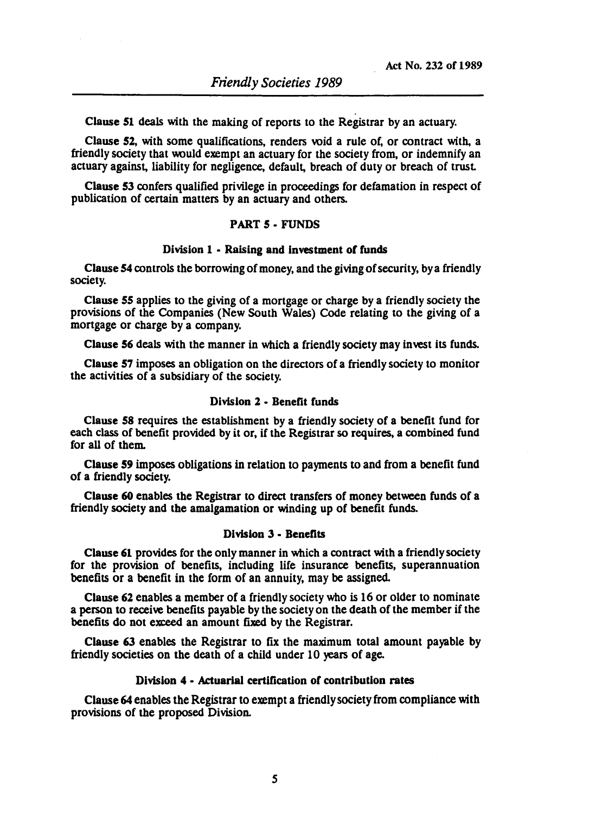Clause 51 deals with the making of reports to the Registrar by an actuary.

Clause 52, with some qualifications, renders void a rule of, or contract with, a friendly society that would exempt an actuary for the society from, or indemnify an actuary against, liability for negligence, default, breach of duty or breach of trust

Clause 53 confers qualified privilege in proceedings for defamation in respect of publication of certain matters by an actuary and others.

## PART 5 • FUNDS

### Division 1 - Raising and investment of funds

Clause 54 controls the borrowing of money, and the giving of security, by a friendly society.

Clause 55 applies to the giving of a mortgage or charge by a friendly society the provisions of the Companies (New South Wales) Code relating to the giving of a mortgage or charge by a company.

Clause 56 deals with the manner in which a friendly society may invest its funds.

Clause 57 imposes an obligation on the directors of a friendly society to monitor the activities of a subsidiary of the society.

# Division 2 - Benefit funds

Clause 58 requires the establishment by a friendly society of a benefit fund for each class of benefit provided by it or, if the Registrar so requires, a combined fund for all of them.

Clause 59 imposes obligations in relation to payments to and from a benefit fund of a friendly society.

Clause 60 enables the Registrar to direct transfers of money between funds of a friendly society and the amalgamation or winding up of benefit funds.

#### Division 3 • Benefits

Clause 61 provides for the only manner in which a contract with a friendly society for the provision of benefits, including life insurance benefits, superannuation benefits or a benefit in the form of an annuity, may be assigned.

Clause 62 enables a member of a friendly society who is 16 or older to nominate a person to receive benefits payable by the society on the death of the member if the benefits do not exceed an amount fixed by the Registrar.

Clause 63 enables the Registrar to fix the maximum total amount payable by friendly societies on the death of a child under 10 years of age.

# Division 4 • Actuarial certification or contribution rates

Clause 64 enables the Registrar to exempt a friendly society from compliance with provisions of the proposed Division.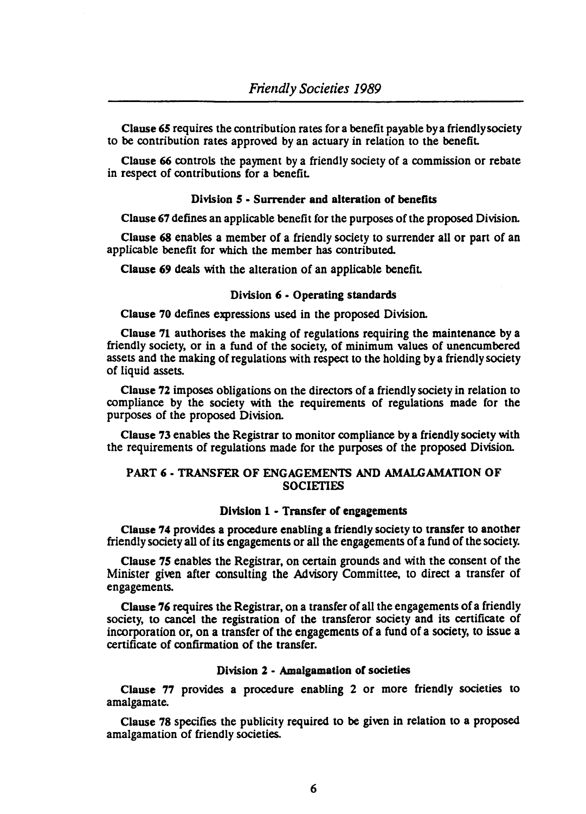Clause *6S* requires the contribution rates for a benefit payable by a friendly society to be contribution rates approved by an actuary in relation to the benefiL

Clause 66 controls the payment by a friendly society of a commission or rebate in respect of contributions for a benefiL

# Division *S* • Surrender and alteration of benefits

Clause 67 defines an applicable benefit Cor the purposes of the proposed Division.

Clause 68 enables a member of a friendly society to surrender all or part of an applicable benefit for which the member has contributed.

Clause 69 deals with the alteration of an applicable benefit.

# Division 6 • Operating standards

Clause 70 defines expressions used in the proposed Division.

Clause 71 authorises the making of regulations requiring the maintenance by a friendly society, or in a fund of the society, of minimum values of unencumbered assets and the making of regulations with respect to the holding by a friendly society of liquid assets.

Clause 72 imposes obligations on the directors of a friendly society in relation to compliance by the society with the requirements of regulations made for the purposes of the proposed Division.

Clause 73 enables the Registrar to monitor compliance by a friendly society with the requirements of regulations made for the purposes of the proposed Division.

# PART 6 • TRANSFER OF ENGAGEMENTS AND AMALGAMATION OF **SOCIETIES**

### Division 1 - Transfer of engagements

Clause 74 provides a procedure enabling a friendly society to transfer to another friendly society all of its engagements or all the engagements of a fund of the society.

Clause *7S* enables the Registrar, on certain grounds and with the consent of the Minister given after consulting the Advisory Committee, to direct a transfer of engagements.

Clause 76 requires the Registrar, on a transfer of all the engagements of a friendly society, to cancel the registration of the transferor society and its certificate of incorporation or, on a transfer of the engagements of a fund of a society, to issue a certificate of confirmation of the transfer.

### Division 2 - Amalgamation of societies

Clause 77 provides a procedure enabling 2 or more friendly societies to amalgamate.

Clause 78 specifies the publicity required to be given in relation to a proposed amalgamation of friendly societies.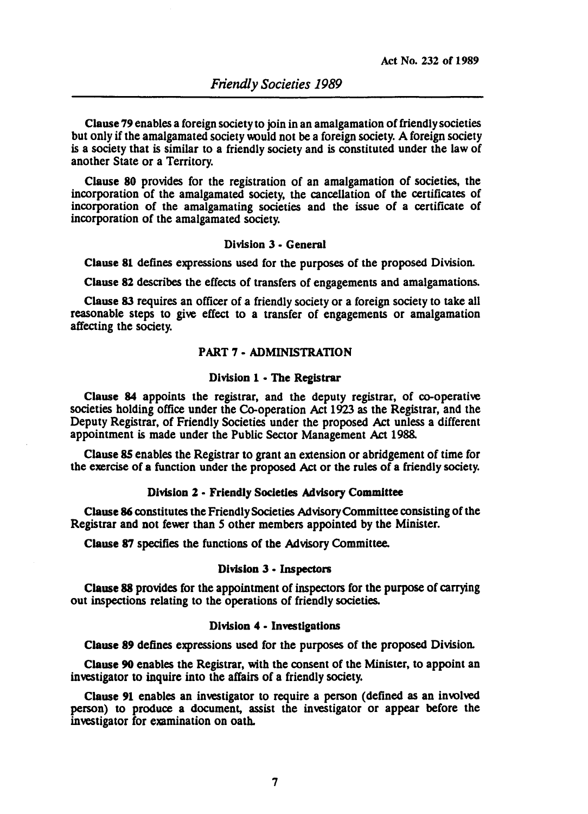Clause 79 enables a foreign society to join in an amalgamation of friendly societies but only if the amalgamated society would not be a foreign society. A foreign society is a society that is similar to a friendly society and is constituted under the law of another State or a Territory.

Clause 80 provides for the registration of an amalgamation of societies, the incorporation of the amalgamated society, the cancellation of the certificates of incorporation of the amalgamating societies and the issue of a certificate of incorporation of the amalgamated society.

## Division 3· General

Clause 81 defines expressions used for the purposes of the proposed Division.

Clause 82 describes the effects of transfers of engagements and amalgamations.

Clause 83 requires an officer of a friendly society or a foreign society to take all reasonable steps to give effect to a transfer of engagements or amalgamation affecting the society.

# PART 7 • ADMINISTRATION

### Division 1 - The Registrar

Clause 84 appoints the registrar, and the deputy registrar, of co-operative societies holding office under the Co-operation Act 1923 as the Registrar, and the Deputy Registrar, of Friendly Societies under the proposed Act unless a different appointment is made under the Public Sector Management Act 1988.

Clause SS enables the Registrar to grant an extension or abridgement of time for the exercise of a function under the proposed Act or the rules of a friendly society.

### Division 2 • Friendly Societies Advisory Committee

Clause 86 constitutes the Friendly Societies Advisory Committee consisting of the Registrar and not fewer than 5 other members appointed by the Minister.

Clause 87 specifies the functions of the Advisory Committee.

#### Division 3 • Inspectors

Clause 88 provides for the appointment of inspectors for the purpose of carrying out inspections relating to the operations of friendly societies.

#### Division 4 • Investigations

Clause 89 defines expressions used for the purposes of the proposed Division.

Clause 90 enables the Registrar, with the consent of the Minister, to appoint an investigator to inquire into the affairs of a friendly society.

Clause 91 enables an investigator to require a person (defined as an involved person) to produce a document, assist the investigator or appear before the investigator for examination on oath.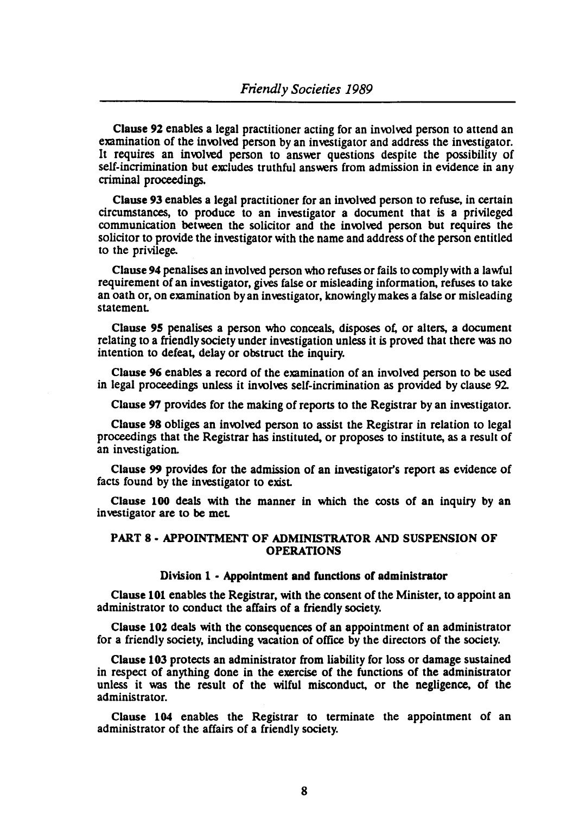Clause 92 enables a legal practitioner acting for an involved person to attend an examination of the involved person by an investigator and address the investigator. It requires an involved person to answer questions despite the possibility of self-incrimination but excludes truthful answers from admission in evidence in any criminal proceedings.

Clause 93 enables a legal practitioner for an involved person to refuse, in cenain circumstances, to produce to an investigator a document that is a privileged communication between the solicitor and the involved person but requires the solicitor to provide the investigator with the name and address of the person entitled to the privilege.

Clause 94 penalises an involved person who refuses or fails to comply with a lawful requirement of an investigator, gives false or misleading information, refuses to take an oath or, on examination by an investigator, knowingly makes a false or misleading statemenL

Clause 95 penalises a person who conceals, disposes of, or alters, a document relating to a friendly society under investigation unless it is proved that there was no intention to defeat, delay or obstruct the inquiry.

Clause 96 enables a record of the examination of an involved person to be used in legal proceedings unless it involves self-incrimination as provided by clause 92

Clause 97 provides for the making of reports to the Registrar by an investigator.

Clause 98 obliges an involved person to assist the Registrar in relation to legal proceedings that the Registrar has instituted, or proposes to institute, as a result of an investigation.

Clause 99 provides for the admission of an investigator's report as evidence of facts found by the investigator to exisL

Clause 100 deals with the manner in which the costs of an inquiry by an investigator are to be meL

### PART 8 • APPOINTMENT OF ADMINISTRATOR AND SUSPENSION OF OPERATIONS

#### Division 1 - Appointment and functions of administrator

Clause 101 enables the Registrar, with the consent of the Minister, to appoint an administrator to conduct the affairs of a friendly society.

Clause 102 deals with the consequences of an appointment of an administrator for a friendly society, including vacation of office by the directors of the society.

Clause 103 protects an administrator from liability for loss or damage sustained in respect of anything done in the exercise of the functions of the administrator unless it was the result of the wilful misconduct, or the negligence, of the administrator.

Clause 104 enables the Registrar to terminate the appointment of an administrator of the affairs of a friendly society.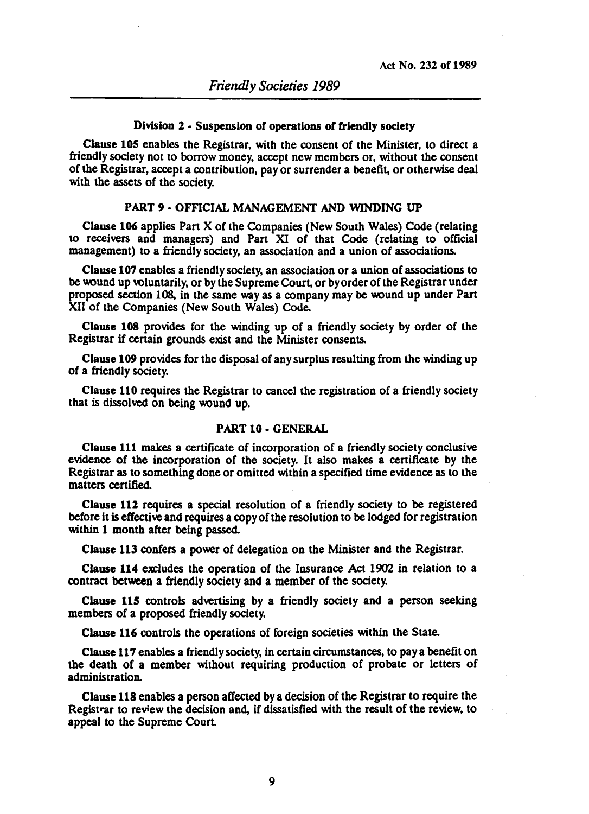# Division 2 • Suspension of operations of friendly society

Clause 105 enables the Registrar, with the consent of the Minister, to direct a friendly society not to borrow money, accept new members or, without the consent of the Registrar, accept a contribution, payor surrender a benefit, or otherwise deal with the assets of the society.

# PART 9· OFFICIAL MANAGEMENT AND WINDING UP

Clause 106 applies Part X of the Companies (New South Wales) Code (relating to receivers and managers) and Part XI of that Code (relating to official management) to a friendly society, an association and a union of associations.

Clause 107 enables a friendly society, an association or a union of associations to be wund up voluntarily, or by the Supreme Court, or by order of the Registrar under proposed section 108, in the same way as a company may be wund up under Part XII of the Companies (New South Wales) Code.

Clause 108 provides for the winding up of a friendly society by order of the Registrar if certain grounds exist and the Minister consents.

Clause 109 provides for the disposal of any surplus resulting from the winding up of a friendly society.

Clause 110 requires the Registrar to cancel the registration of a friendly society that is dissolved on being wund up.

## PART 10. GENERAL

Clause 111 makes a certificate of incorporation of a friendly society conclusive evidence of the incorporation of the society. It also makes a certificate by the Registrar as to something done or omitted within a specified time evidence as to the matters cenified.

Clause 112 requires a special resolution of a friendly society to be registered before it is effective and requires a copy of the resolution to be lodged for registration within 1 month after being passed.

Clause 113 confers a power of delegation on the Minister and the Registrar.

Clause 114 excludes the operation of the Insurance Act 1902 in relation to a contract between a friendly society and a member of the society.

Clause 115 controls advertising by a friendly society and a person seeking members of a proposed friendly society.

Clause 116 controls the operations of foreign societies within the State.

Clause 117 enables a friendly society, in certain circumstances, to pay a benefit on the death of a member without requiring production of probate or letters of administration.

Clause 118 enables a person affected by a decision of the Registrar to require the Registrar to review the decision and, if dissatisfied with the result of the review, to appeal to the Supreme Court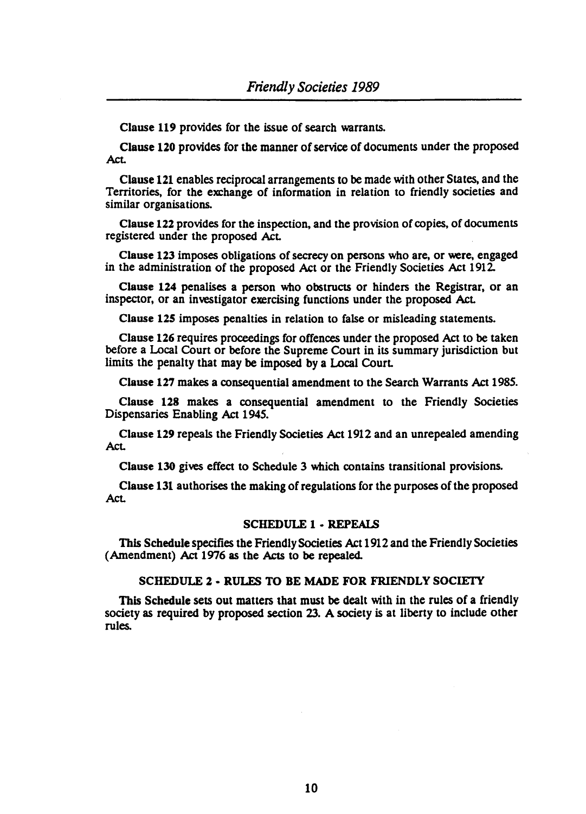Clause 119 provides for the issue of search warrants.

Clause 120 provides for the manner of service of documents under the proposed Act.

Clause 121 enables reciprocal arrangements to be made with other States, and the Territories, for the exchange of information in relation to friendly societies and similar organisations.

Clause 122 provides for the inspection, and the provision of copies, of documents registered under the proposed Act

Clause 123 imposes obligations of secrecy on persons who are, or were, engaged in the administration of the proposed Act or the Friendly Societies Act 1912

Clause 124 penalises a person who obstructs or hinders the Registrar, or an inspector, or an investigator exercising functions under the proposed Act

Clause 125 imposes penalties in relation to false or misleading statements.

Clause 126 requires proceedings for offences under the proposed Act to be taken before a Local Court or before the Supreme Court in its summary jurisdiction but limits the penalty that may be imposed by a Local Court

Clause 127 makes a consequential amendment to the Search Warrants Act 1985.

Clause 128 makes a consequential amendment to the Friendly Societies Dispensaries Enabling Act 1945.

Clause 129 repeals the Friendly Societies Act 1912 and an unrepealed amending Act

Clause 130 gives effect to Schedule 3 which contains transitional provisions.

Clause 131 authorises the making of regulations for the purposes of the proposed Act.

## SCHEDULE 1 • REPEALS

This Schedule specifies the Friendly Societies Act 1912 and the Friendly Societies (Amendment) Act 1976 as the Acts to be repealed.

# SCHEDULE 2 • RULES TO BE MADE FOR FRIENDLY SOCIETY

This Schedule sets out matters that must be dealt with in the rules of a friendly society as required by proposed section 23. A society is at liberty to include other rules.